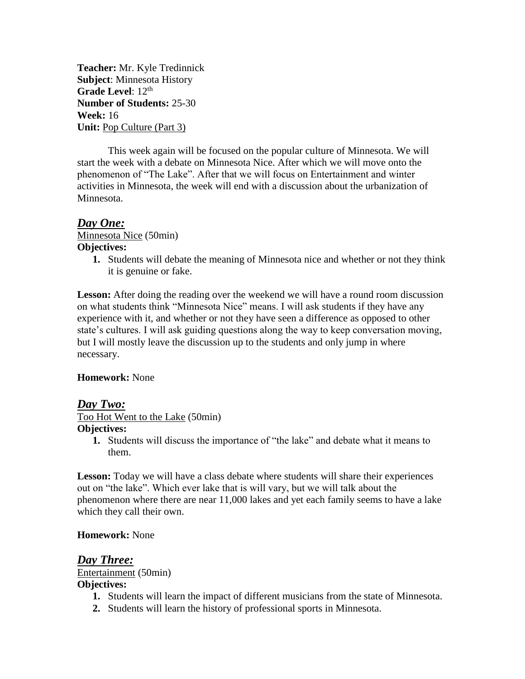**Teacher:** Mr. Kyle Tredinnick **Subject**: Minnesota History Grade Level:  $12<sup>th</sup>$ **Number of Students:** 25-30 **Week:** 16 **Unit:** Pop Culture (Part 3)

This week again will be focused on the popular culture of Minnesota. We will start the week with a debate on Minnesota Nice. After which we will move onto the phenomenon of "The Lake". After that we will focus on Entertainment and winter activities in Minnesota, the week will end with a discussion about the urbanization of Minnesota.

## *Day One:*

Minnesota Nice (50min) **Objectives:**

**1.** Students will debate the meaning of Minnesota nice and whether or not they think it is genuine or fake.

Lesson: After doing the reading over the weekend we will have a round room discussion on what students think "Minnesota Nice" means. I will ask students if they have any experience with it, and whether or not they have seen a difference as opposed to other state's cultures. I will ask guiding questions along the way to keep conversation moving, but I will mostly leave the discussion up to the students and only jump in where necessary.

### **Homework:** None

### *Day Two:*

Too Hot Went to the Lake (50min)

### **Objectives:**

**1.** Students will discuss the importance of "the lake" and debate what it means to them.

Lesson: Today we will have a class debate where students will share their experiences out on "the lake". Which ever lake that is will vary, but we will talk about the phenomenon where there are near 11,000 lakes and yet each family seems to have a lake which they call their own.

### **Homework:** None

## *Day Three:*

Entertainment (50min) **Objectives:**

- **1.** Students will learn the impact of different musicians from the state of Minnesota.
- **2.** Students will learn the history of professional sports in Minnesota.